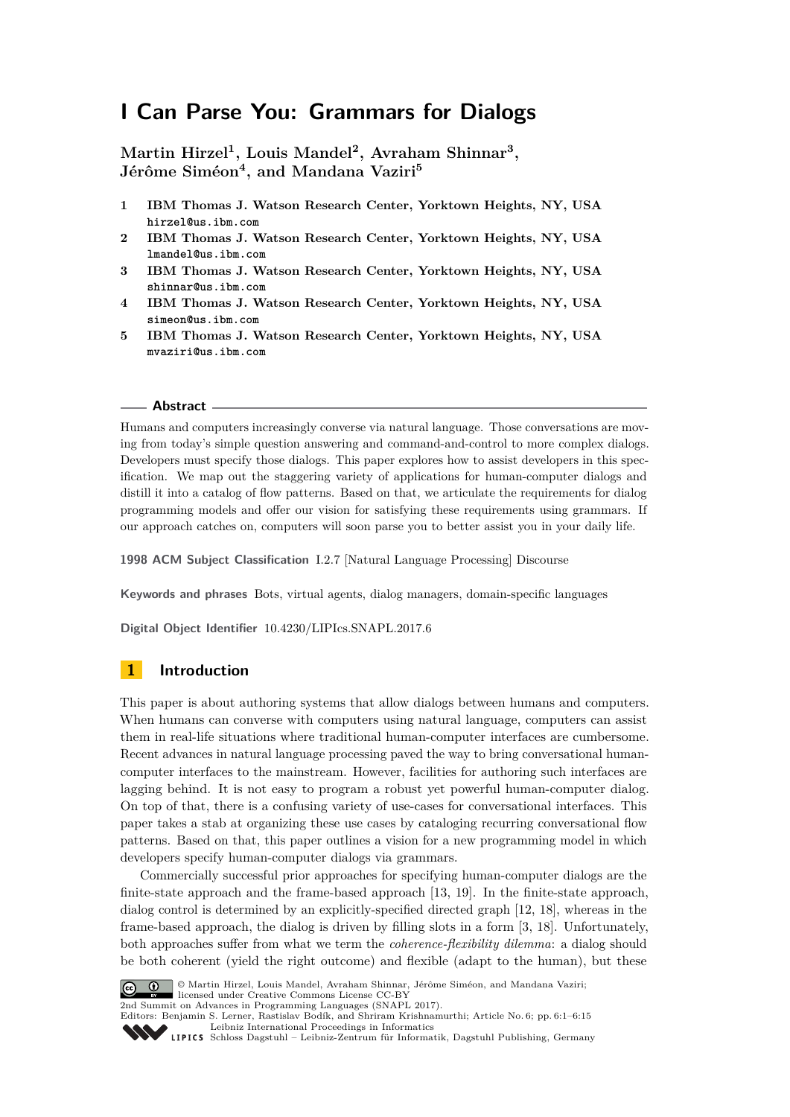# **I Can Parse You: Grammars for Dialogs**

**Martin Hirzel<sup>1</sup> , Louis Mandel<sup>2</sup> , Avraham Shinnar<sup>3</sup> , Jérôme Siméon<sup>4</sup> , and Mandana Vaziri<sup>5</sup>**

- **1 IBM Thomas J. Watson Research Center, Yorktown Heights, NY, USA hirzel@us.ibm.com**
- **2 IBM Thomas J. Watson Research Center, Yorktown Heights, NY, USA lmandel@us.ibm.com**
- **3 IBM Thomas J. Watson Research Center, Yorktown Heights, NY, USA shinnar@us.ibm.com**
- **4 IBM Thomas J. Watson Research Center, Yorktown Heights, NY, USA simeon@us.ibm.com**
- **5 IBM Thomas J. Watson Research Center, Yorktown Heights, NY, USA mvaziri@us.ibm.com**

#### **Abstract**

Humans and computers increasingly converse via natural language. Those conversations are moving from today's simple question answering and command-and-control to more complex dialogs. Developers must specify those dialogs. This paper explores how to assist developers in this specification. We map out the staggering variety of applications for human-computer dialogs and distill it into a catalog of flow patterns. Based on that, we articulate the requirements for dialog programming models and offer our vision for satisfying these requirements using grammars. If our approach catches on, computers will soon parse you to better assist you in your daily life.

**1998 ACM Subject Classification** I.2.7 [Natural Language Processing] Discourse

**Keywords and phrases** Bots, virtual agents, dialog managers, domain-specific languages

**Digital Object Identifier** [10.4230/LIPIcs.SNAPL.2017.6](http://dx.doi.org/10.4230/LIPIcs.SNAPL.2017.6)

# **1 Introduction**

This paper is about authoring systems that allow dialogs between humans and computers. When humans can converse with computers using natural language, computers can assist them in real-life situations where traditional human-computer interfaces are cumbersome. Recent advances in natural language processing paved the way to bring conversational humancomputer interfaces to the mainstream. However, facilities for authoring such interfaces are lagging behind. It is not easy to program a robust yet powerful human-computer dialog. On top of that, there is a confusing variety of use-cases for conversational interfaces. This paper takes a stab at organizing these use cases by cataloging recurring conversational flow patterns. Based on that, this paper outlines a vision for a new programming model in which developers specify human-computer dialogs via grammars.

Commercially successful prior approaches for specifying human-computer dialogs are the finite-state approach and the frame-based approach [\[13,](#page-14-0) [19\]](#page-14-1). In the finite-state approach, dialog control is determined by an explicitly-specified directed graph [\[12,](#page-14-2) [18\]](#page-14-3), whereas in the frame-based approach, the dialog is driven by filling slots in a form [\[3,](#page-13-0) [18\]](#page-14-3). Unfortunately, both approaches suffer from what we term the *coherence-flexibility dilemma*: a dialog should be both coherent (yield the right outcome) and flexible (adapt to the human), but these



© Martin Hirzel, Louis Mandel, Avraham Shinnar, Jérôme Siméon, and Mandana Vaziri; licensed under Creative Commons License CC-BY 2nd Summit on Advances in Programming Languages (SNAPL 2017).

Editors: Benjamin S. Lerner, Rastislav Bodík, and Shriram Krishnamurthi; Article No. 6; pp. 6:1–6[:15](#page-14-4) [Leibniz International Proceedings in Informatics](http://www.dagstuhl.de/lipics/)

[Schloss Dagstuhl – Leibniz-Zentrum für Informatik, Dagstuhl Publishing, Germany](http://www.dagstuhl.de)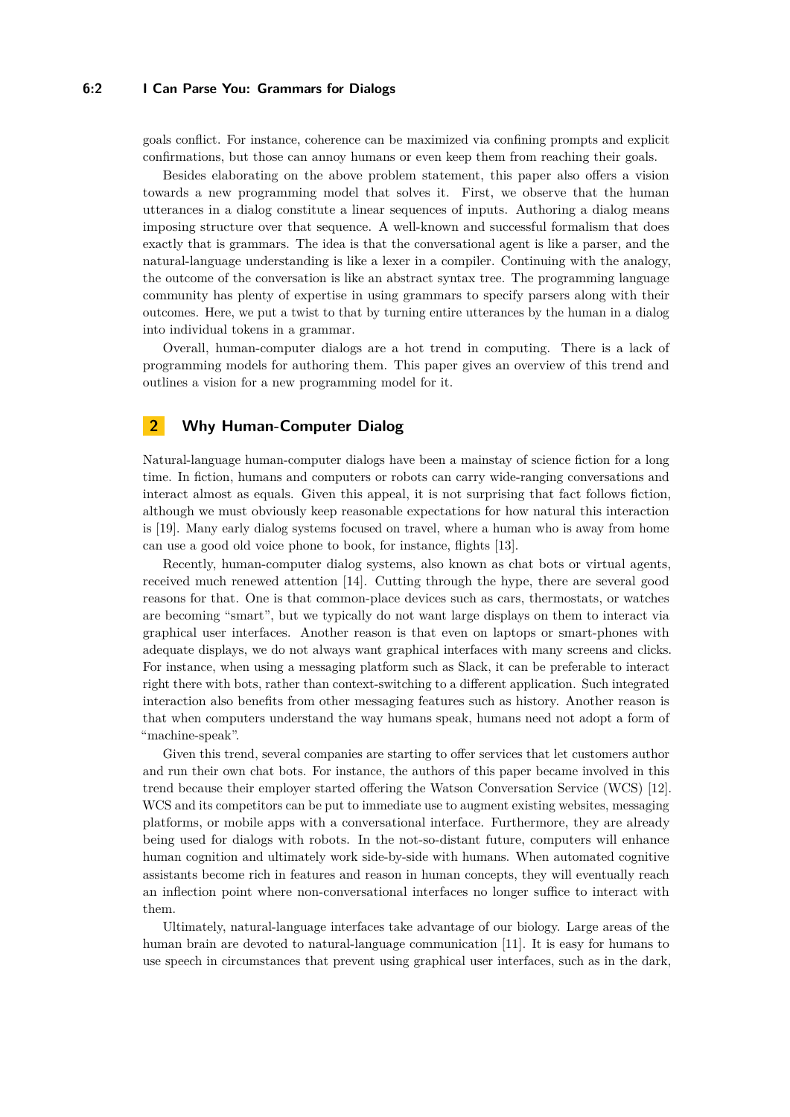### **6:2 I Can Parse You: Grammars for Dialogs**

goals conflict. For instance, coherence can be maximized via confining prompts and explicit confirmations, but those can annoy humans or even keep them from reaching their goals.

Besides elaborating on the above problem statement, this paper also offers a vision towards a new programming model that solves it. First, we observe that the human utterances in a dialog constitute a linear sequences of inputs. Authoring a dialog means imposing structure over that sequence. A well-known and successful formalism that does exactly that is grammars. The idea is that the conversational agent is like a parser, and the natural-language understanding is like a lexer in a compiler. Continuing with the analogy, the outcome of the conversation is like an abstract syntax tree. The programming language community has plenty of expertise in using grammars to specify parsers along with their outcomes. Here, we put a twist to that by turning entire utterances by the human in a dialog into individual tokens in a grammar.

Overall, human-computer dialogs are a hot trend in computing. There is a lack of programming models for authoring them. This paper gives an overview of this trend and outlines a vision for a new programming model for it.

# **2 Why Human-Computer Dialog**

Natural-language human-computer dialogs have been a mainstay of science fiction for a long time. In fiction, humans and computers or robots can carry wide-ranging conversations and interact almost as equals. Given this appeal, it is not surprising that fact follows fiction, although we must obviously keep reasonable expectations for how natural this interaction is [\[19\]](#page-14-1). Many early dialog systems focused on travel, where a human who is away from home can use a good old voice phone to book, for instance, flights [\[13\]](#page-14-0).

Recently, human-computer dialog systems, also known as chat bots or virtual agents, received much renewed attention [\[14\]](#page-14-5). Cutting through the hype, there are several good reasons for that. One is that common-place devices such as cars, thermostats, or watches are becoming "smart", but we typically do not want large displays on them to interact via graphical user interfaces. Another reason is that even on laptops or smart-phones with adequate displays, we do not always want graphical interfaces with many screens and clicks. For instance, when using a messaging platform such as Slack, it can be preferable to interact right there with bots, rather than context-switching to a different application. Such integrated interaction also benefits from other messaging features such as history. Another reason is that when computers understand the way humans speak, humans need not adopt a form of "machine-speak".

Given this trend, several companies are starting to offer services that let customers author and run their own chat bots. For instance, the authors of this paper became involved in this trend because their employer started offering the Watson Conversation Service (WCS) [\[12\]](#page-14-2). WCS and its competitors can be put to immediate use to augment existing websites, messaging platforms, or mobile apps with a conversational interface. Furthermore, they are already being used for dialogs with robots. In the not-so-distant future, computers will enhance human cognition and ultimately work side-by-side with humans. When automated cognitive assistants become rich in features and reason in human concepts, they will eventually reach an inflection point where non-conversational interfaces no longer suffice to interact with them.

Ultimately, natural-language interfaces take advantage of our biology. Large areas of the human brain are devoted to natural-language communication [\[11\]](#page-14-6). It is easy for humans to use speech in circumstances that prevent using graphical user interfaces, such as in the dark,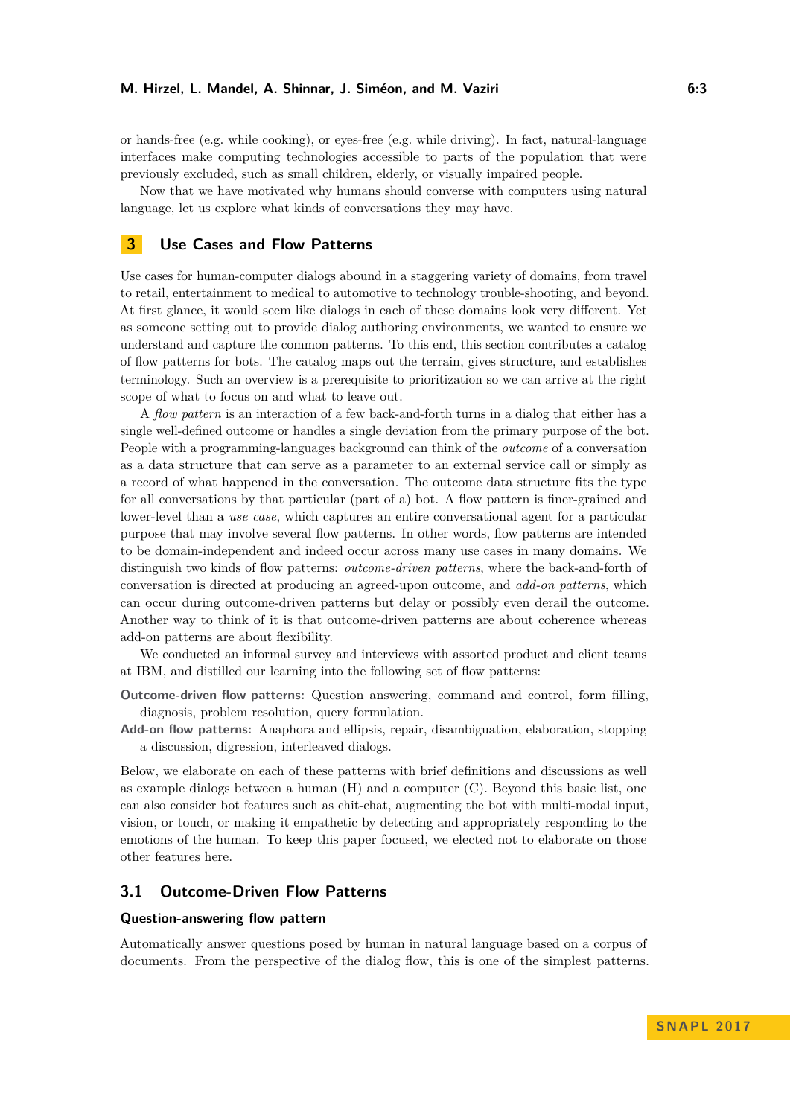or hands-free (e.g. while cooking), or eyes-free (e.g. while driving). In fact, natural-language interfaces make computing technologies accessible to parts of the population that were previously excluded, such as small children, elderly, or visually impaired people.

Now that we have motivated why humans should converse with computers using natural language, let us explore what kinds of conversations they may have.

### **3 Use Cases and Flow Patterns**

Use cases for human-computer dialogs abound in a staggering variety of domains, from travel to retail, entertainment to medical to automotive to technology trouble-shooting, and beyond. At first glance, it would seem like dialogs in each of these domains look very different. Yet as someone setting out to provide dialog authoring environments, we wanted to ensure we understand and capture the common patterns. To this end, this section contributes a catalog of flow patterns for bots. The catalog maps out the terrain, gives structure, and establishes terminology. Such an overview is a prerequisite to prioritization so we can arrive at the right scope of what to focus on and what to leave out.

A *flow pattern* is an interaction of a few back-and-forth turns in a dialog that either has a single well-defined outcome or handles a single deviation from the primary purpose of the bot. People with a programming-languages background can think of the *outcome* of a conversation as a data structure that can serve as a parameter to an external service call or simply as a record of what happened in the conversation. The outcome data structure fits the type for all conversations by that particular (part of a) bot. A flow pattern is finer-grained and lower-level than a *use case*, which captures an entire conversational agent for a particular purpose that may involve several flow patterns. In other words, flow patterns are intended to be domain-independent and indeed occur across many use cases in many domains. We distinguish two kinds of flow patterns: *outcome-driven patterns*, where the back-and-forth of conversation is directed at producing an agreed-upon outcome, and *add-on patterns*, which can occur during outcome-driven patterns but delay or possibly even derail the outcome. Another way to think of it is that outcome-driven patterns are about coherence whereas add-on patterns are about flexibility.

We conducted an informal survey and interviews with assorted product and client teams at IBM, and distilled our learning into the following set of flow patterns:

- **Outcome-driven flow patterns:** Question answering, command and control, form filling, diagnosis, problem resolution, query formulation.
- **Add-on flow patterns:** Anaphora and ellipsis, repair, disambiguation, elaboration, stopping a discussion, digression, interleaved dialogs.

Below, we elaborate on each of these patterns with brief definitions and discussions as well as example dialogs between a human (H) and a computer (C). Beyond this basic list, one can also consider bot features such as chit-chat, augmenting the bot with multi-modal input, vision, or touch, or making it empathetic by detecting and appropriately responding to the emotions of the human. To keep this paper focused, we elected not to elaborate on those other features here.

# <span id="page-2-0"></span>**3.1 Outcome-Driven Flow Patterns**

### **Question-answering flow pattern**

Automatically answer questions posed by human in natural language based on a corpus of documents. From the perspective of the dialog flow, this is one of the simplest patterns.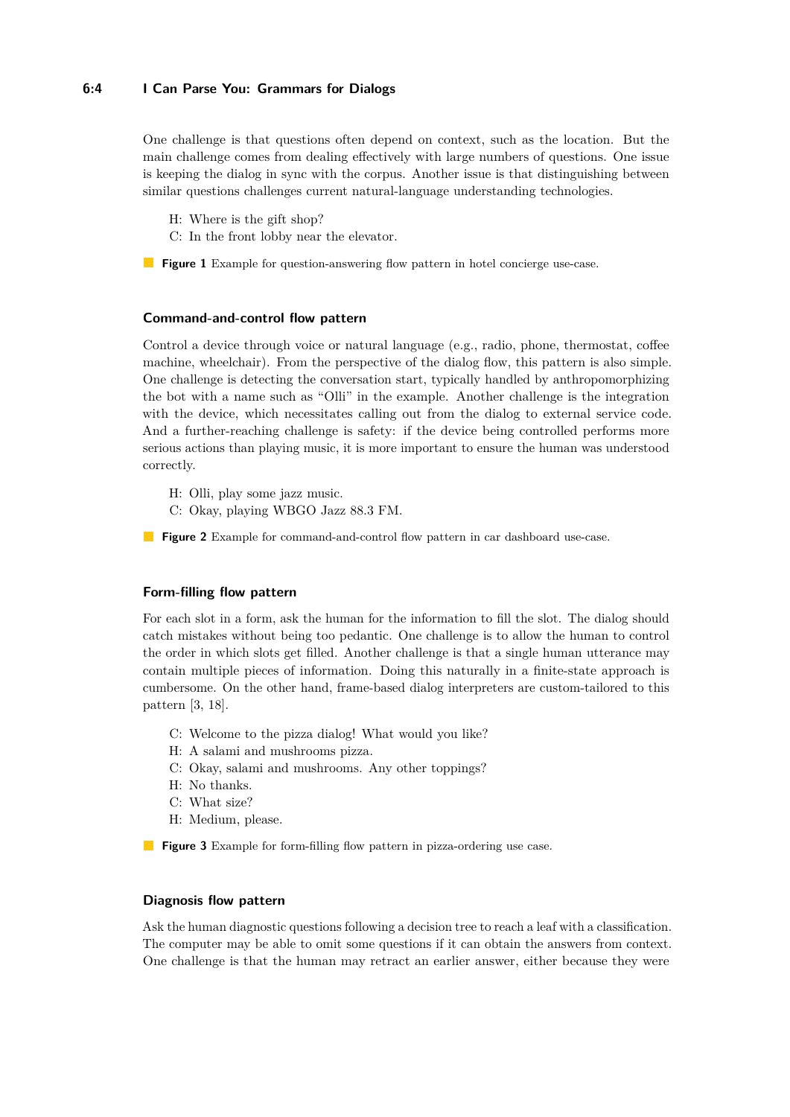### **6:4 I Can Parse You: Grammars for Dialogs**

One challenge is that questions often depend on context, such as the location. But the main challenge comes from dealing effectively with large numbers of questions. One issue is keeping the dialog in sync with the corpus. Another issue is that distinguishing between similar questions challenges current natural-language understanding technologies.

- H: Where is the gift shop?
- C: In the front lobby near the elevator.

**Figure 1** Example for question-answering flow pattern in hotel concierge use-case.

#### **Command-and-control flow pattern**

Control a device through voice or natural language (e.g., radio, phone, thermostat, coffee machine, wheelchair). From the perspective of the dialog flow, this pattern is also simple. One challenge is detecting the conversation start, typically handled by anthropomorphizing the bot with a name such as "Olli" in the example. Another challenge is the integration with the device, which necessitates calling out from the dialog to external service code. And a further-reaching challenge is safety: if the device being controlled performs more serious actions than playing music, it is more important to ensure the human was understood correctly.

- H: Olli, play some jazz music.
- C: Okay, playing WBGO Jazz 88.3 FM.
- **Figure 2** Example for command-and-control flow pattern in car dashboard use-case.

### **Form-filling flow pattern**

For each slot in a form, ask the human for the information to fill the slot. The dialog should catch mistakes without being too pedantic. One challenge is to allow the human to control the order in which slots get filled. Another challenge is that a single human utterance may contain multiple pieces of information. Doing this naturally in a finite-state approach is cumbersome. On the other hand, frame-based dialog interpreters are custom-tailored to this pattern [\[3,](#page-13-0) [18\]](#page-14-3).

- C: Welcome to the pizza dialog! What would you like?
- H: A salami and mushrooms pizza.
- C: Okay, salami and mushrooms. Any other toppings?
- H: No thanks.
- C: What size?
- H: Medium, please.
- **Figure 3** Example for form-filling flow pattern in pizza-ordering use case.

#### **Diagnosis flow pattern**

Ask the human diagnostic questions following a decision tree to reach a leaf with a classification. The computer may be able to omit some questions if it can obtain the answers from context. One challenge is that the human may retract an earlier answer, either because they were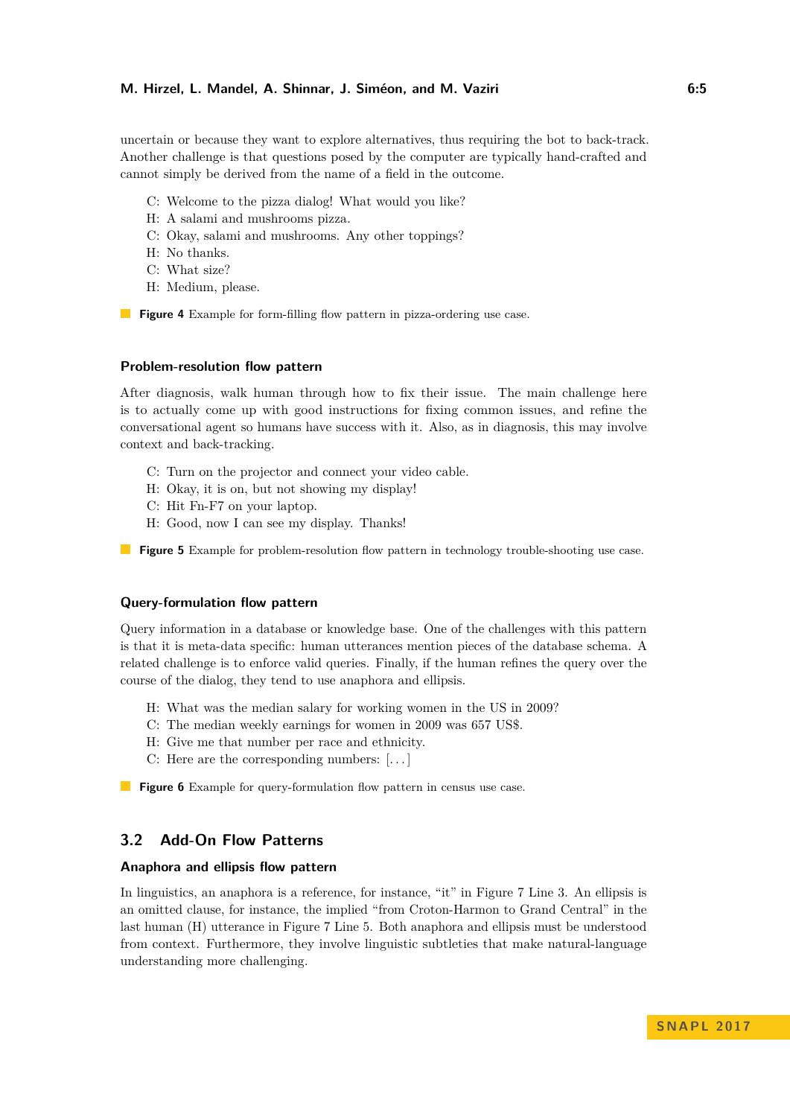uncertain or because they want to explore alternatives, thus requiring the bot to back-track. Another challenge is that questions posed by the computer are typically hand-crafted and cannot simply be derived from the name of a field in the outcome.

- C: Welcome to the pizza dialog! What would you like?
- H: A salami and mushrooms pizza.
- C: Okay, salami and mushrooms. Any other toppings?
- H: No thanks.
- C: What size?
- H: Medium, please.

**Figure 4** Example for form-filling flow pattern in pizza-ordering use case.

### **Problem-resolution flow pattern**

After diagnosis, walk human through how to fix their issue. The main challenge here is to actually come up with good instructions for fixing common issues, and refine the conversational agent so humans have success with it. Also, as in diagnosis, this may involve context and back-tracking.

- C: Turn on the projector and connect your video cable.
- H: Okay, it is on, but not showing my display!
- C: Hit Fn-F7 on your laptop.
- H: Good, now I can see my display. Thanks!

**Figure 5** Example for problem-resolution flow pattern in technology trouble-shooting use case.

### **Query-formulation flow pattern**

Query information in a database or knowledge base. One of the challenges with this pattern is that it is meta-data specific: human utterances mention pieces of the database schema. A related challenge is to enforce valid queries. Finally, if the human refines the query over the course of the dialog, they tend to use anaphora and ellipsis.

- H: What was the median salary for working women in the US in 2009?
- C: The median weekly earnings for women in 2009 was 657 US\$.
- H: Give me that number per race and ethnicity.
- C: Here are the corresponding numbers: [. . . ]

**Figure 6** Example for query-formulation flow pattern in census use case.

# <span id="page-4-0"></span>**3.2 Add-On Flow Patterns**

### **Anaphora and ellipsis flow pattern**

In linguistics, an anaphora is a reference, for instance, "it" in Figure [7](#page-5-0) Line 3. An ellipsis is an omitted clause, for instance, the implied "from Croton-Harmon to Grand Central" in the last human (H) utterance in Figure [7](#page-5-0) Line 5. Both anaphora and ellipsis must be understood from context. Furthermore, they involve linguistic subtleties that make natural-language understanding more challenging.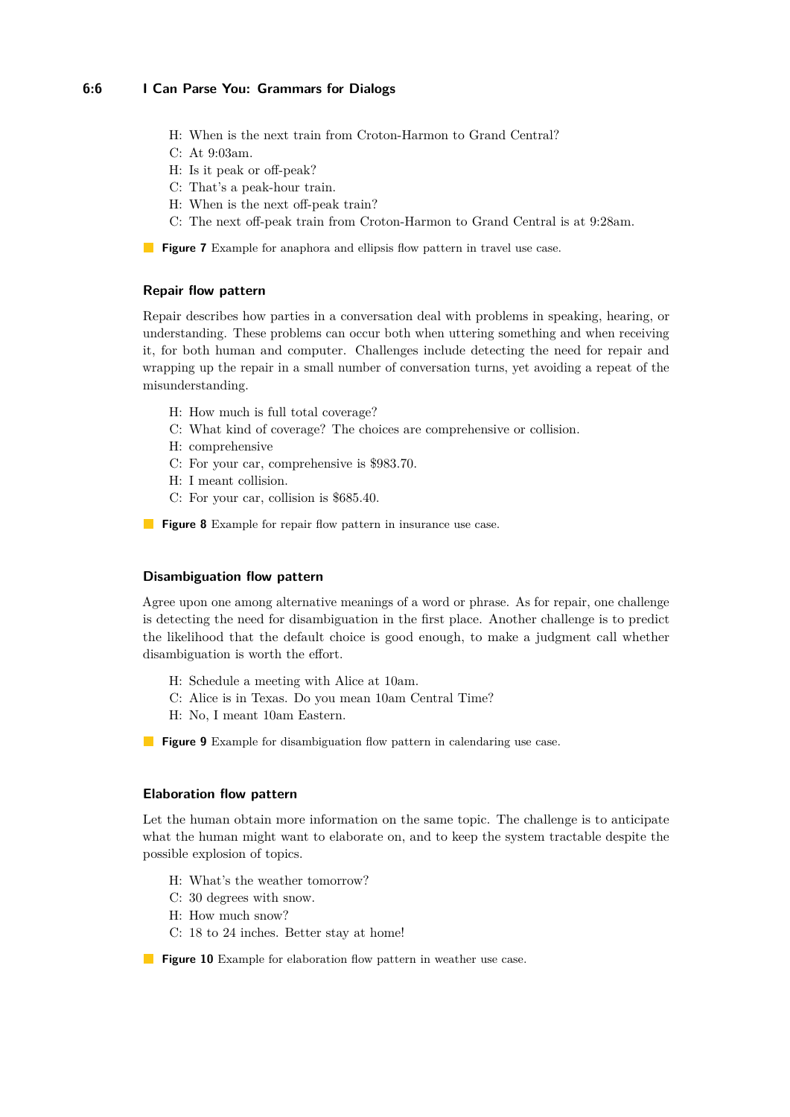### **6:6 I Can Parse You: Grammars for Dialogs**

- <span id="page-5-0"></span>H: When is the next train from Croton-Harmon to Grand Central?
- C: At 9:03am.
- H: Is it peak or off-peak?
- C: That's a peak-hour train.
- H: When is the next off-peak train?
- C: The next off-peak train from Croton-Harmon to Grand Central is at 9:28am.

**Figure 7** Example for anaphora and ellipsis flow pattern in travel use case.

### **Repair flow pattern**

Repair describes how parties in a conversation deal with problems in speaking, hearing, or understanding. These problems can occur both when uttering something and when receiving it, for both human and computer. Challenges include detecting the need for repair and wrapping up the repair in a small number of conversation turns, yet avoiding a repeat of the misunderstanding.

- H: How much is full total coverage?
- C: What kind of coverage? The choices are comprehensive or collision.
- H: comprehensive
- C: For your car, comprehensive is \$983.70.
- H: I meant collision.
- C: For your car, collision is \$685.40.
- **Figure 8** Example for repair flow pattern in insurance use case.

### **Disambiguation flow pattern**

Agree upon one among alternative meanings of a word or phrase. As for repair, one challenge is detecting the need for disambiguation in the first place. Another challenge is to predict the likelihood that the default choice is good enough, to make a judgment call whether disambiguation is worth the effort.

- H: Schedule a meeting with Alice at 10am.
- C: Alice is in Texas. Do you mean 10am Central Time?
- H: No, I meant 10am Eastern.
- **Figure 9** Example for disambiguation flow pattern in calendaring use case.

### **Elaboration flow pattern**

Let the human obtain more information on the same topic. The challenge is to anticipate what the human might want to elaborate on, and to keep the system tractable despite the possible explosion of topics.

- H: What's the weather tomorrow?
- C: 30 degrees with snow.
- H: How much snow?
- C: 18 to 24 inches. Better stay at home!

#### **Figure 10** Example for elaboration flow pattern in weather use case.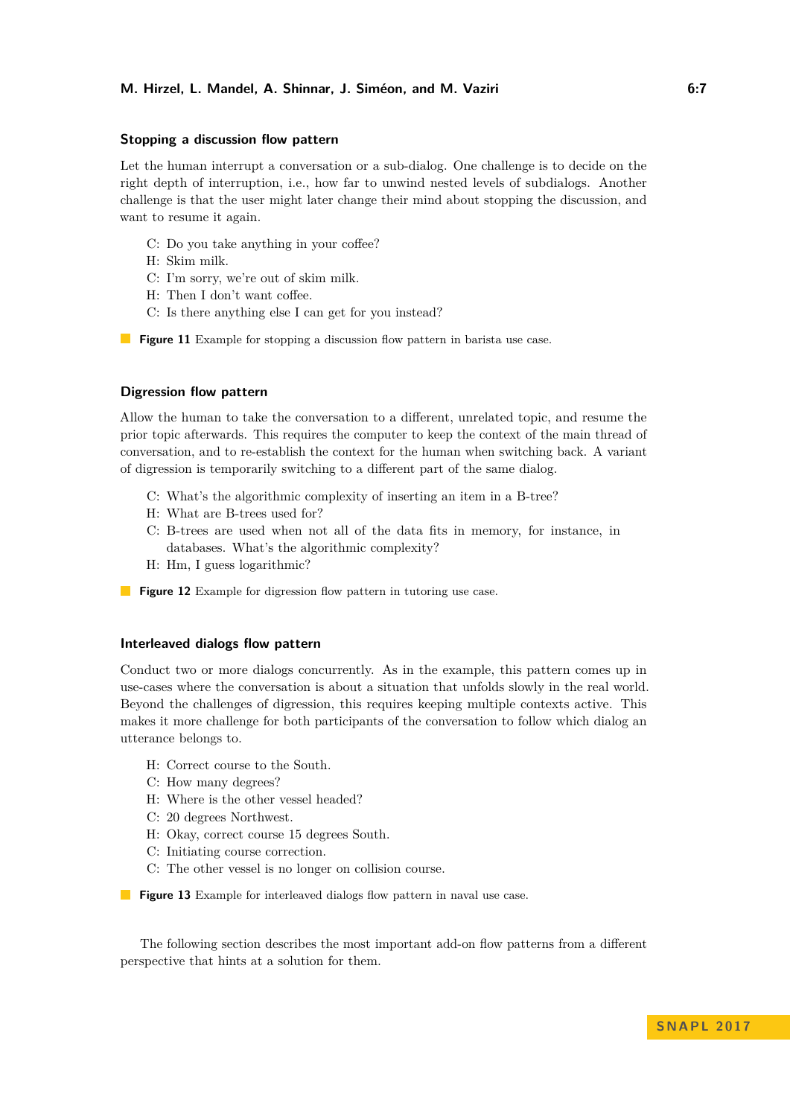#### **Stopping a discussion flow pattern**

Let the human interrupt a conversation or a sub-dialog. One challenge is to decide on the right depth of interruption, i.e., how far to unwind nested levels of subdialogs. Another challenge is that the user might later change their mind about stopping the discussion, and want to resume it again.

- C: Do you take anything in your coffee?
- H: Skim milk.
- C: I'm sorry, we're out of skim milk.
- H: Then I don't want coffee.
- C: Is there anything else I can get for you instead?
- **Figure 11** Example for stopping a discussion flow pattern in barista use case.

### **Digression flow pattern**

Allow the human to take the conversation to a different, unrelated topic, and resume the prior topic afterwards. This requires the computer to keep the context of the main thread of conversation, and to re-establish the context for the human when switching back. A variant of digression is temporarily switching to a different part of the same dialog.

- C: What's the algorithmic complexity of inserting an item in a B-tree?
- H: What are B-trees used for?
- C: B-trees are used when not all of the data fits in memory, for instance, in databases. What's the algorithmic complexity?
- H: Hm, I guess logarithmic?
- **Figure 12** Example for digression flow pattern in tutoring use case.

### **Interleaved dialogs flow pattern**

Conduct two or more dialogs concurrently. As in the example, this pattern comes up in use-cases where the conversation is about a situation that unfolds slowly in the real world. Beyond the challenges of digression, this requires keeping multiple contexts active. This makes it more challenge for both participants of the conversation to follow which dialog an utterance belongs to.

- H: Correct course to the South.
- C: How many degrees?
- H: Where is the other vessel headed?
- C: 20 degrees Northwest.
- H: Okay, correct course 15 degrees South.
- C: Initiating course correction.
- C: The other vessel is no longer on collision course.
- **Figure 13** Example for interleaved dialogs flow pattern in naval use case.

The following section describes the most important add-on flow patterns from a different perspective that hints at a solution for them.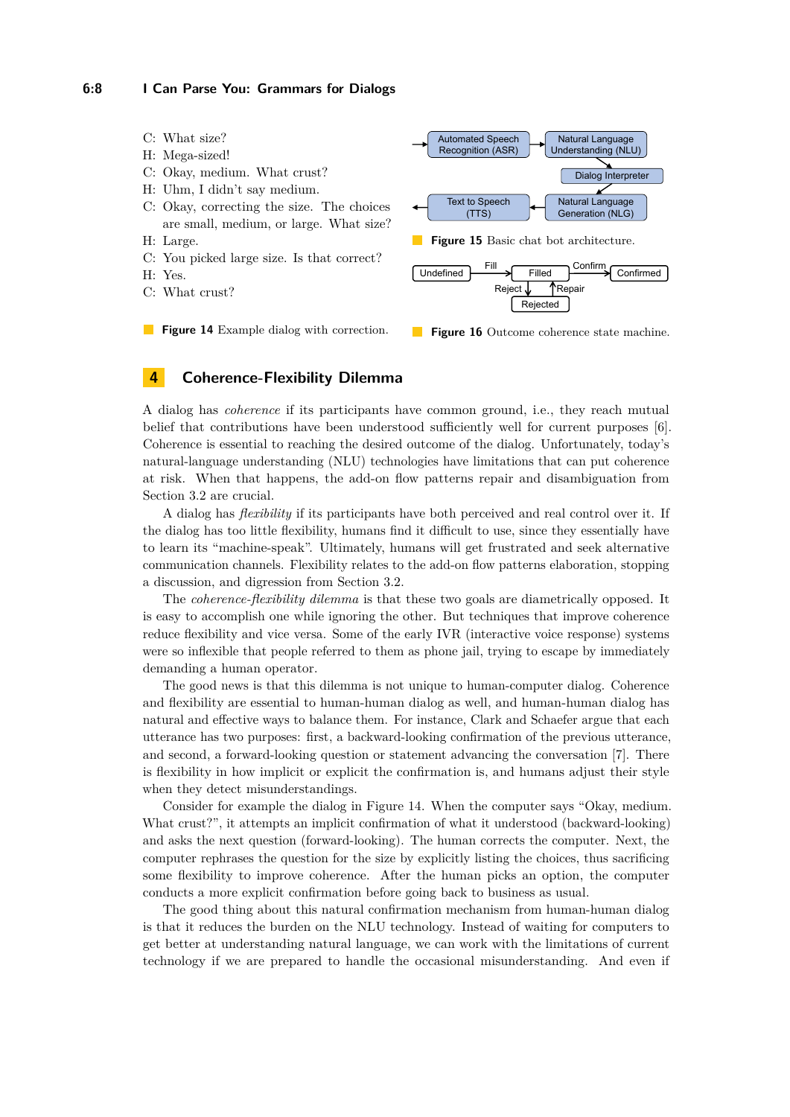### **6:8 I Can Parse You: Grammars for Dialogs**

- <span id="page-7-0"></span>C: What size?
- H: Mega-sized!
- C: Okay, medium. What crust?
- H: Uhm, I didn't say medium.
- C: Okay, correcting the size. The choices are small, medium, or large. What size?
- H: Large.
- C: You picked large size. Is that correct?
- H: Yes.
- C: What crust?
- **Figure 14** Example dialog with correction.



**Figure 16** Outcome coherence state machine.

### **4 Coherence-Flexibility Dilemma**

A dialog has *coherence* if its participants have common ground, i.e., they reach mutual belief that contributions have been understood sufficiently well for current purposes [\[6\]](#page-13-1). Coherence is essential to reaching the desired outcome of the dialog. Unfortunately, today's natural-language understanding (NLU) technologies have limitations that can put coherence at risk. When that happens, the add-on flow patterns repair and disambiguation from Section [3.2](#page-4-0) are crucial.

A dialog has *flexibility* if its participants have both perceived and real control over it. If the dialog has too little flexibility, humans find it difficult to use, since they essentially have to learn its "machine-speak". Ultimately, humans will get frustrated and seek alternative communication channels. Flexibility relates to the add-on flow patterns elaboration, stopping a discussion, and digression from Section [3.2.](#page-4-0)

The *coherence-flexibility dilemma* is that these two goals are diametrically opposed. It is easy to accomplish one while ignoring the other. But techniques that improve coherence reduce flexibility and vice versa. Some of the early IVR (interactive voice response) systems were so inflexible that people referred to them as phone jail, trying to escape by immediately demanding a human operator.

The good news is that this dilemma is not unique to human-computer dialog. Coherence and flexibility are essential to human-human dialog as well, and human-human dialog has natural and effective ways to balance them. For instance, Clark and Schaefer argue that each utterance has two purposes: first, a backward-looking confirmation of the previous utterance, and second, a forward-looking question or statement advancing the conversation [\[7\]](#page-14-7). There is flexibility in how implicit or explicit the confirmation is, and humans adjust their style when they detect misunderstandings.

Consider for example the dialog in Figure [14.](#page-7-0) When the computer says "Okay, medium. What crust?", it attempts an implicit confirmation of what it understood (backward-looking) and asks the next question (forward-looking). The human corrects the computer. Next, the computer rephrases the question for the size by explicitly listing the choices, thus sacrificing some flexibility to improve coherence. After the human picks an option, the computer conducts a more explicit confirmation before going back to business as usual.

The good thing about this natural confirmation mechanism from human-human dialog is that it reduces the burden on the NLU technology. Instead of waiting for computers to get better at understanding natural language, we can work with the limitations of current technology if we are prepared to handle the occasional misunderstanding. And even if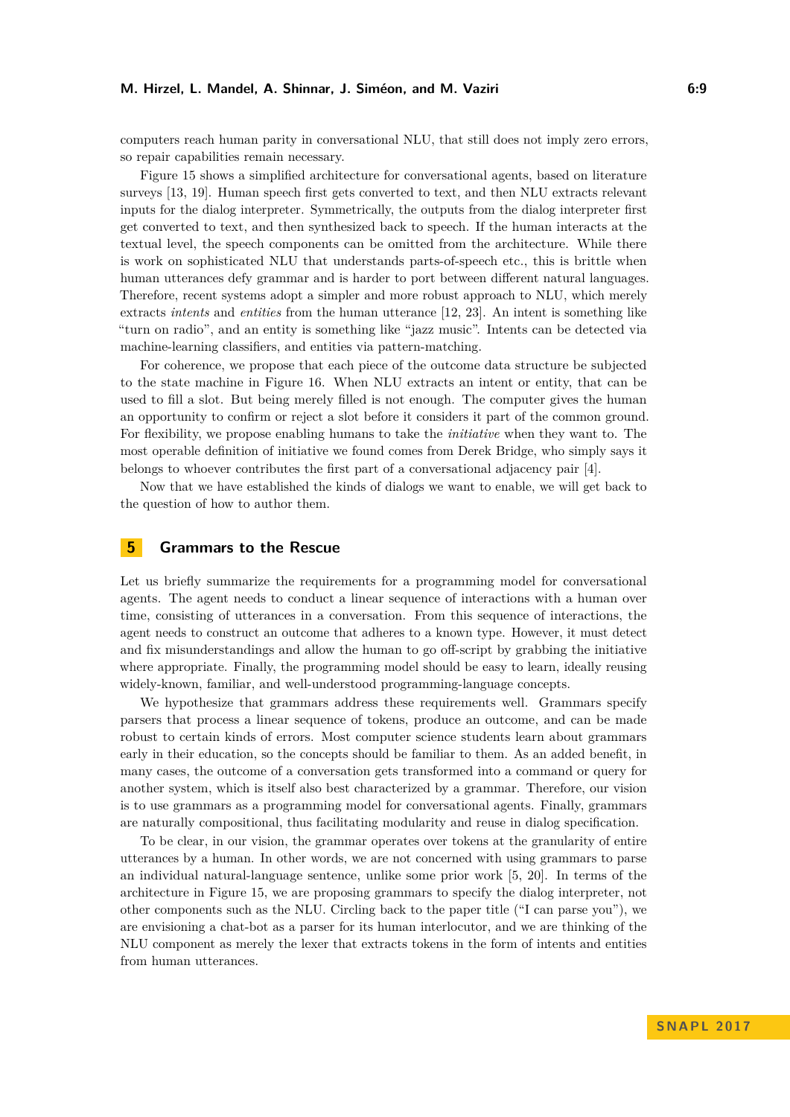computers reach human parity in conversational NLU, that still does not imply zero errors, so repair capabilities remain necessary.

Figure [15](#page-7-0) shows a simplified architecture for conversational agents, based on literature surveys [\[13,](#page-14-0) [19\]](#page-14-1). Human speech first gets converted to text, and then NLU extracts relevant inputs for the dialog interpreter. Symmetrically, the outputs from the dialog interpreter first get converted to text, and then synthesized back to speech. If the human interacts at the textual level, the speech components can be omitted from the architecture. While there is work on sophisticated NLU that understands parts-of-speech etc., this is brittle when human utterances defy grammar and is harder to port between different natural languages. Therefore, recent systems adopt a simpler and more robust approach to NLU, which merely extracts *intents* and *entities* from the human utterance [\[12,](#page-14-2) [23\]](#page-14-8). An intent is something like "turn on radio", and an entity is something like "jazz music". Intents can be detected via machine-learning classifiers, and entities via pattern-matching.

For coherence, we propose that each piece of the outcome data structure be subjected to the state machine in Figure [16.](#page-7-0) When NLU extracts an intent or entity, that can be used to fill a slot. But being merely filled is not enough. The computer gives the human an opportunity to confirm or reject a slot before it considers it part of the common ground. For flexibility, we propose enabling humans to take the *initiative* when they want to. The most operable definition of initiative we found comes from Derek Bridge, who simply says it belongs to whoever contributes the first part of a conversational adjacency pair [\[4\]](#page-13-2).

Now that we have established the kinds of dialogs we want to enable, we will get back to the question of how to author them.

### **5 Grammars to the Rescue**

Let us briefly summarize the requirements for a programming model for conversational agents. The agent needs to conduct a linear sequence of interactions with a human over time, consisting of utterances in a conversation. From this sequence of interactions, the agent needs to construct an outcome that adheres to a known type. However, it must detect and fix misunderstandings and allow the human to go off-script by grabbing the initiative where appropriate. Finally, the programming model should be easy to learn, ideally reusing widely-known, familiar, and well-understood programming-language concepts.

We hypothesize that grammars address these requirements well. Grammars specify parsers that process a linear sequence of tokens, produce an outcome, and can be made robust to certain kinds of errors. Most computer science students learn about grammars early in their education, so the concepts should be familiar to them. As an added benefit, in many cases, the outcome of a conversation gets transformed into a command or query for another system, which is itself also best characterized by a grammar. Therefore, our vision is to use grammars as a programming model for conversational agents. Finally, grammars are naturally compositional, thus facilitating modularity and reuse in dialog specification.

To be clear, in our vision, the grammar operates over tokens at the granularity of entire utterances by a human. In other words, we are not concerned with using grammars to parse an individual natural-language sentence, unlike some prior work [\[5,](#page-13-3) [20\]](#page-14-9). In terms of the architecture in Figure [15,](#page-7-0) we are proposing grammars to specify the dialog interpreter, not other components such as the NLU. Circling back to the paper title ("I can parse you"), we are envisioning a chat-bot as a parser for its human interlocutor, and we are thinking of the NLU component as merely the lexer that extracts tokens in the form of intents and entities from human utterances.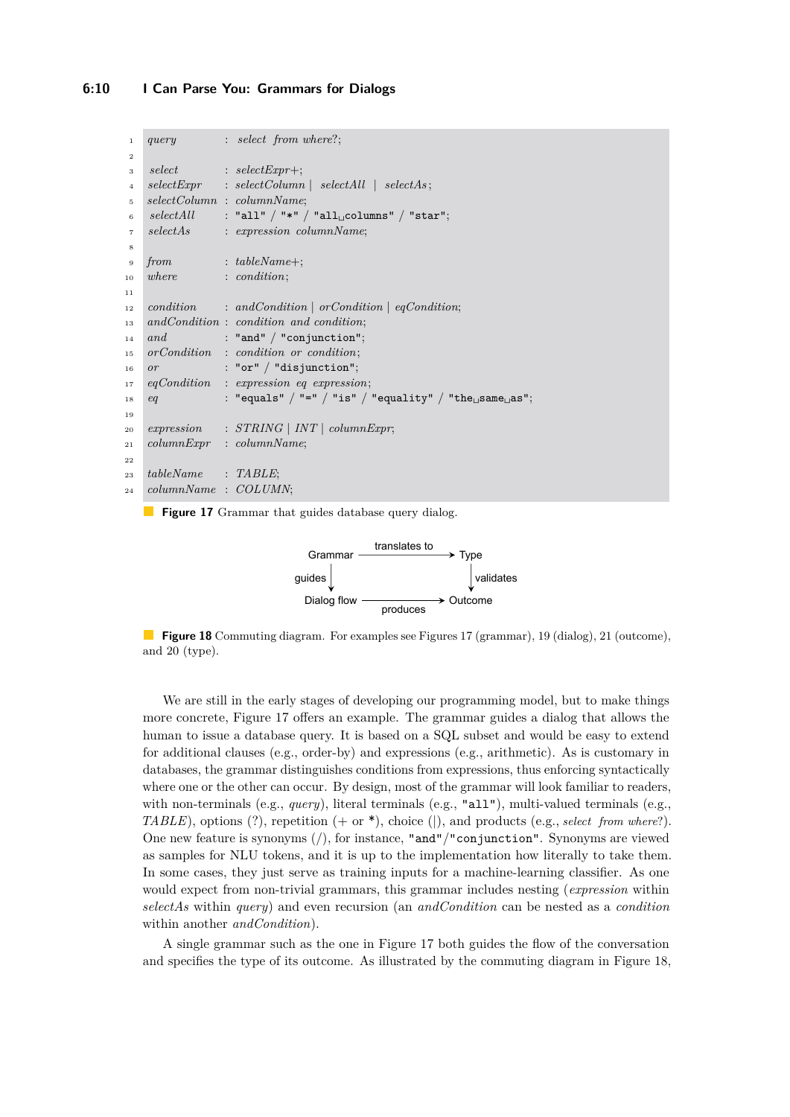```
1 query : select from where?;
2
3 select : selectExpr+;
4 selectExpr : selectColumn | selectAll | selectAs ;
5 selectColumn : columnName;
6 selectAll : "all" / "*" / "all<sub>\parallelcolumns" / "star";</sub>
7 selectAs : expression columnName;
\ddot{\phantom{0}}9 from : tableName+;
10 where : condition;
11
12 condition : andCondition | orCondition | eqCondition;
13 andCondition : condition and condition;
14 and : "and" / "conjunction";
15 orCondition : condition or condition;
16 or : "or" / "disjunction";
17 eqCondition : expression eq expression;
18 eq : "equals" / "=" / "is" / "equality" / "the<sub>\sqcup</sub>same\sqcupas";
19
20 expression : STRING | INT | columnExpr;
21 columnExpr : columnName;
22
23 tableName : TABLE;
24 columnName : COLUMN;
```
<span id="page-9-1"></span>**Figure 17** Grammar that guides database query dialog.



**Figure 18** Commuting diagram. For examples see Figures [17](#page-9-0) (grammar), [19](#page-10-0) (dialog), [21](#page-12-0) (outcome), and [20](#page-12-0) (type).

We are still in the early stages of developing our programming model, but to make things more concrete, Figure [17](#page-9-0) offers an example. The grammar guides a dialog that allows the human to issue a database query. It is based on a SQL subset and would be easy to extend for additional clauses (e.g., order-by) and expressions (e.g., arithmetic). As is customary in databases, the grammar distinguishes conditions from expressions, thus enforcing syntactically where one or the other can occur. By design, most of the grammar will look familiar to readers, with non-terminals (e.g., *query*), literal terminals (e.g., "all"), multi-valued terminals (e.g., *TABLE*), options (?), repetition (+ or \*), choice (|), and products (e.g., *select from where*?). One new feature is synonyms (/), for instance, "and"/"conjunction". Synonyms are viewed as samples for NLU tokens, and it is up to the implementation how literally to take them. In some cases, they just serve as training inputs for a machine-learning classifier. As one would expect from non-trivial grammars, this grammar includes nesting (*expression* within *selectAs* within *query*) and even recursion (an *andCondition* can be nested as a *condition* within another *andCondition*).

A single grammar such as the one in Figure [17](#page-9-0) both guides the flow of the conversation and specifies the type of its outcome. As illustrated by the commuting diagram in Figure [18,](#page-9-1)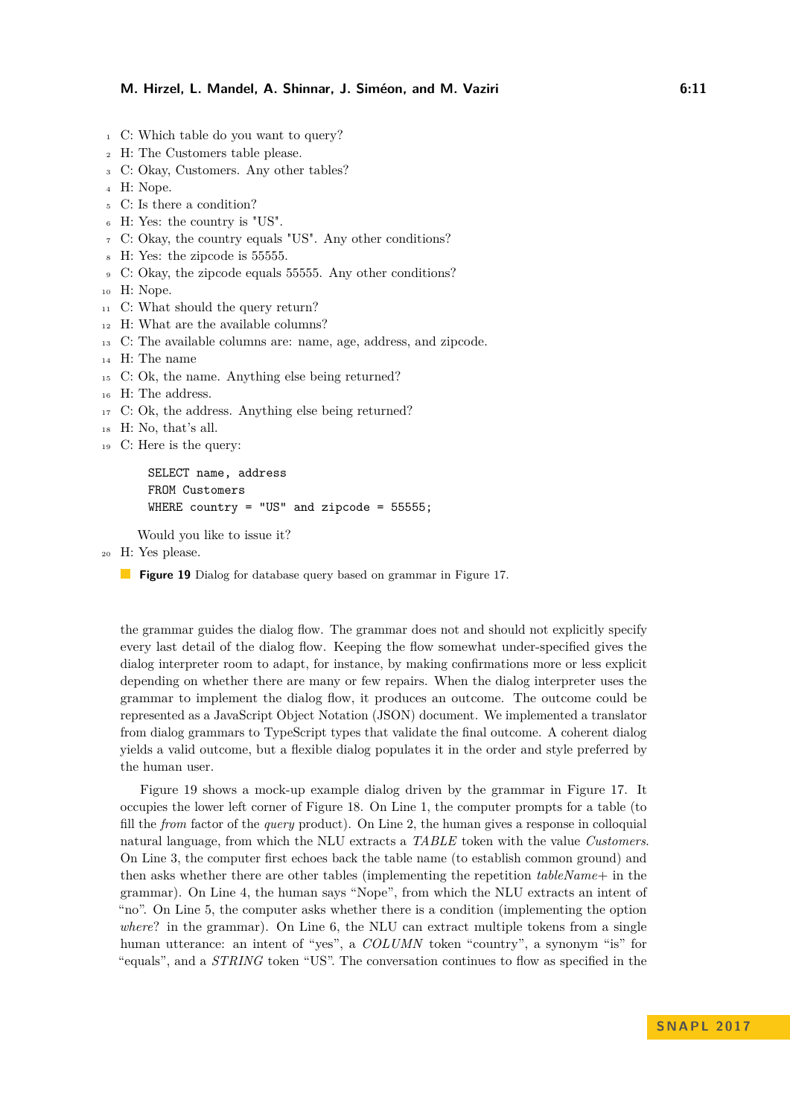- <span id="page-10-0"></span><sup>1</sup> C: Which table do you want to query?
- <sup>2</sup> H: The Customers table please.
- <sup>3</sup> C: Okay, Customers. Any other tables?
- <sup>4</sup> H: Nope.
- <sup>5</sup> C: Is there a condition?
- <sup>6</sup> H: Yes: the country is "US".
- <sup>7</sup> C: Okay, the country equals "US". Any other conditions?
- <sup>8</sup> H: Yes: the zipcode is 55555.
- <sup>9</sup> C: Okay, the zipcode equals 55555. Any other conditions?
- <sup>10</sup> H: Nope.
- <sup>11</sup> C: What should the query return?
- <sup>12</sup> H: What are the available columns?
- <sup>13</sup> C: The available columns are: name, age, address, and zipcode.
- <sup>14</sup> H: The name
- <sup>15</sup> C: Ok, the name. Anything else being returned?
- <sup>16</sup> H: The address.
- <sup>17</sup> C: Ok, the address. Anything else being returned?
- <sup>18</sup> H: No, that's all.
- <sup>19</sup> C: Here is the query:

```
SELECT name, address
FROM Customers
WHERE country = "US" and zipcode = 55555;
```
Would you like to issue it?

# <sup>20</sup> H: Yes please.

**Figure 19** Dialog for database query based on grammar in Figure [17.](#page-9-0)

the grammar guides the dialog flow. The grammar does not and should not explicitly specify every last detail of the dialog flow. Keeping the flow somewhat under-specified gives the dialog interpreter room to adapt, for instance, by making confirmations more or less explicit depending on whether there are many or few repairs. When the dialog interpreter uses the grammar to implement the dialog flow, it produces an outcome. The outcome could be represented as a JavaScript Object Notation (JSON) document. We implemented a translator from dialog grammars to TypeScript types that validate the final outcome. A coherent dialog yields a valid outcome, but a flexible dialog populates it in the order and style preferred by the human user.

Figure [19](#page-10-0) shows a mock-up example dialog driven by the grammar in Figure [17.](#page-9-0) It occupies the lower left corner of Figure [18.](#page-9-1) On Line 1, the computer prompts for a table (to fill the *from* factor of the *query* product). On Line 2, the human gives a response in colloquial natural language, from which the NLU extracts a *TABLE* token with the value *Customers*. On Line 3, the computer first echoes back the table name (to establish common ground) and then asks whether there are other tables (implementing the repetition *tableName*+ in the grammar). On Line 4, the human says "Nope", from which the NLU extracts an intent of "no". On Line 5, the computer asks whether there is a condition (implementing the option *where*? in the grammar). On Line 6, the NLU can extract multiple tokens from a single human utterance: an intent of "yes", a *COLUMN* token "country", a synonym "is" for "equals", and a *STRING* token "US". The conversation continues to flow as specified in the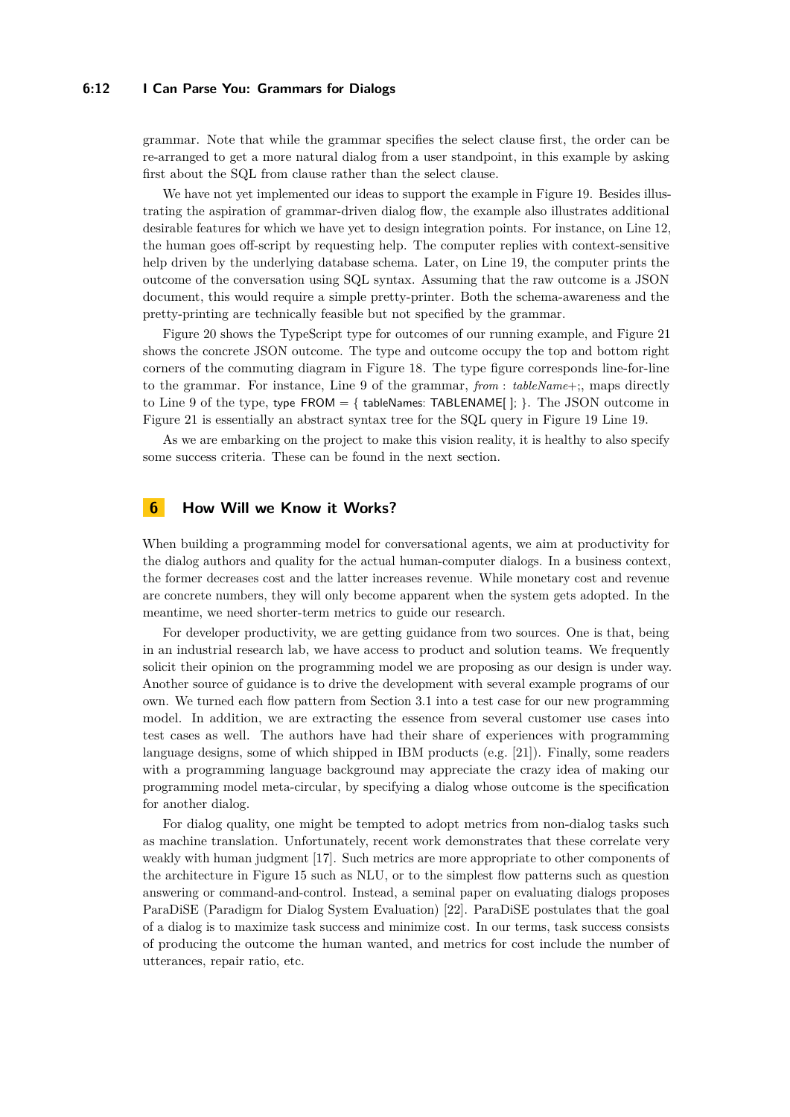### **6:12 I Can Parse You: Grammars for Dialogs**

grammar. Note that while the grammar specifies the select clause first, the order can be re-arranged to get a more natural dialog from a user standpoint, in this example by asking first about the SQL from clause rather than the select clause.

We have not yet implemented our ideas to support the example in Figure [19.](#page-10-0) Besides illustrating the aspiration of grammar-driven dialog flow, the example also illustrates additional desirable features for which we have yet to design integration points. For instance, on Line 12, the human goes off-script by requesting help. The computer replies with context-sensitive help driven by the underlying database schema. Later, on Line 19, the computer prints the outcome of the conversation using SQL syntax. Assuming that the raw outcome is a JSON document, this would require a simple pretty-printer. Both the schema-awareness and the pretty-printing are technically feasible but not specified by the grammar.

Figure [20](#page-12-0) shows the TypeScript type for outcomes of our running example, and Figure [21](#page-12-0) shows the concrete JSON outcome. The type and outcome occupy the top and bottom right corners of the commuting diagram in Figure [18.](#page-9-1) The type figure corresponds line-for-line to the grammar. For instance, Line 9 of the grammar, *from* : *tableName*+;, maps directly to Line 9 of the type, type  $FROM = \{$  tableNames: TABLENAME[];  $\}$ . The JSON outcome in Figure [21](#page-12-0) is essentially an abstract syntax tree for the SQL query in Figure [19](#page-10-0) Line 19.

As we are embarking on the project to make this vision reality, it is healthy to also specify some success criteria. These can be found in the next section.

# **6 How Will we Know it Works?**

When building a programming model for conversational agents, we aim at productivity for the dialog authors and quality for the actual human-computer dialogs. In a business context, the former decreases cost and the latter increases revenue. While monetary cost and revenue are concrete numbers, they will only become apparent when the system gets adopted. In the meantime, we need shorter-term metrics to guide our research.

For developer productivity, we are getting guidance from two sources. One is that, being in an industrial research lab, we have access to product and solution teams. We frequently solicit their opinion on the programming model we are proposing as our design is under way. Another source of guidance is to drive the development with several example programs of our own. We turned each flow pattern from Section [3.1](#page-2-0) into a test case for our new programming model. In addition, we are extracting the essence from several customer use cases into test cases as well. The authors have had their share of experiences with programming language designs, some of which shipped in IBM products (e.g. [\[21\]](#page-14-10)). Finally, some readers with a programming language background may appreciate the crazy idea of making our programming model meta-circular, by specifying a dialog whose outcome is the specification for another dialog.

For dialog quality, one might be tempted to adopt metrics from non-dialog tasks such as machine translation. Unfortunately, recent work demonstrates that these correlate very weakly with human judgment [\[17\]](#page-14-11). Such metrics are more appropriate to other components of the architecture in Figure [15](#page-7-0) such as NLU, or to the simplest flow patterns such as question answering or command-and-control. Instead, a seminal paper on evaluating dialogs proposes ParaDiSE (Paradigm for Dialog System Evaluation) [\[22\]](#page-14-12). ParaDiSE postulates that the goal of a dialog is to maximize task success and minimize cost. In our terms, task success consists of producing the outcome the human wanted, and metrics for cost include the number of utterances, repair ratio, etc.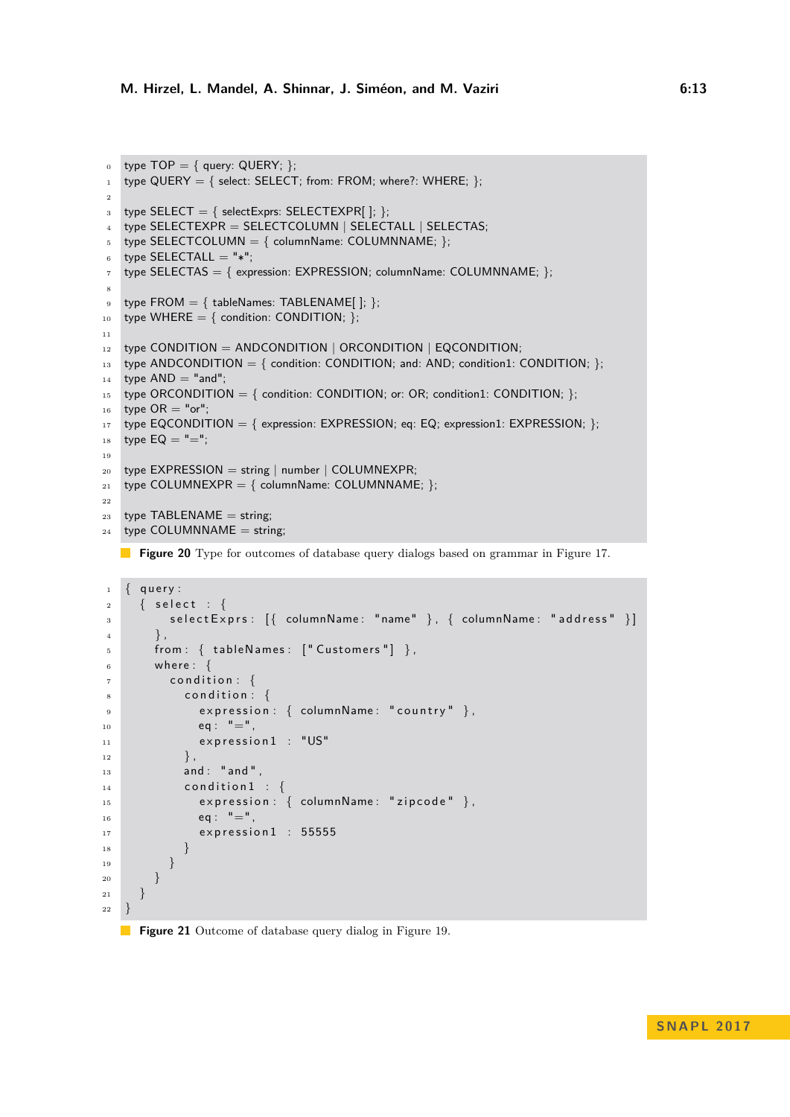```
\circ type TOP = { query: QUERY; };
1 type QUERY = \{ select: SELECT; from: FROM; where?: WHERE; \};2
3 type SELECT = { selectExprs: SELECTEXPR[]; };
4 type SELECTEXPR = SELECTCOLUMN | SELECTALL | SELECTAS;
5 type SELECTCOLUMN = \{ columnName: COLUMNNAME; \};
6 type SELECTALL = "*";
\tau type SELECTAS = { expression: EXPRESSION; columnName: COLUMNNAME; };
8
9 type FROM = \{ tableNames: TABLENAME[]; \};10 type WHERE = { condition: CONDITION; };
11
12 type CONDITION = ANDCONDITION | ORCONDITION | EQCONDITION;
13 type ANDCONDITION = \{ condition: CONDITION; and: AND; condition1: CONDITION; \};
_{14} type AND = "and";
15 type ORCONDITION = \{ condition: CONDITION; or: OR; condition1: CONDITION; \};
_{16} type OR = "or";
17 type EQCONDITION = \{ expression: EXPRESSION; eq: EQ; expression1: EXPRESSION; \};
18 type EQ = "=";
19
20 type EXPRESSION = string | number | COLUMNEXPR;
21 type COLUMNEXPR = \{ columnName: COLUMNNAME; \};
22
23 type TABLENAME = string;
24 type COLUMNNAME = string;
```
**Figure 20** Type for outcomes of database query dialogs based on grammar in Figure [17.](#page-9-0)

```
1 \quad \{ query :
2 \left\{ \text{select} : \right\}3 select Exprs: [{ columnName: "name" }, { columnName: "address" }]
\left\{ \begin{array}{ccc} 4 & 1 \end{array} \right\},
5 from: { tableNames: ["Customers"] },
6 where: {
7 \quad \text{condition: } \{\begin{array}{ccc} 8 & \cdot & \cdot & \cdot \\ \end{array} condition : {
9 expression: { columnName: "country" },
^{10} eq : " =",11 expression1 : "US"
\begin{array}{ccc} \n & \text{12} \\
 & \text{12}\n \end{array}13 and : " and " ,
14 condition1 : {
15 expression: { columnName: "zipcode" },
^{16} eq : "=",
17 expression 1: 55555
\begin{array}{ccc} 18 & & & \end{array}19 }
20 }
21 }
22 }
   Figure 21 19.
```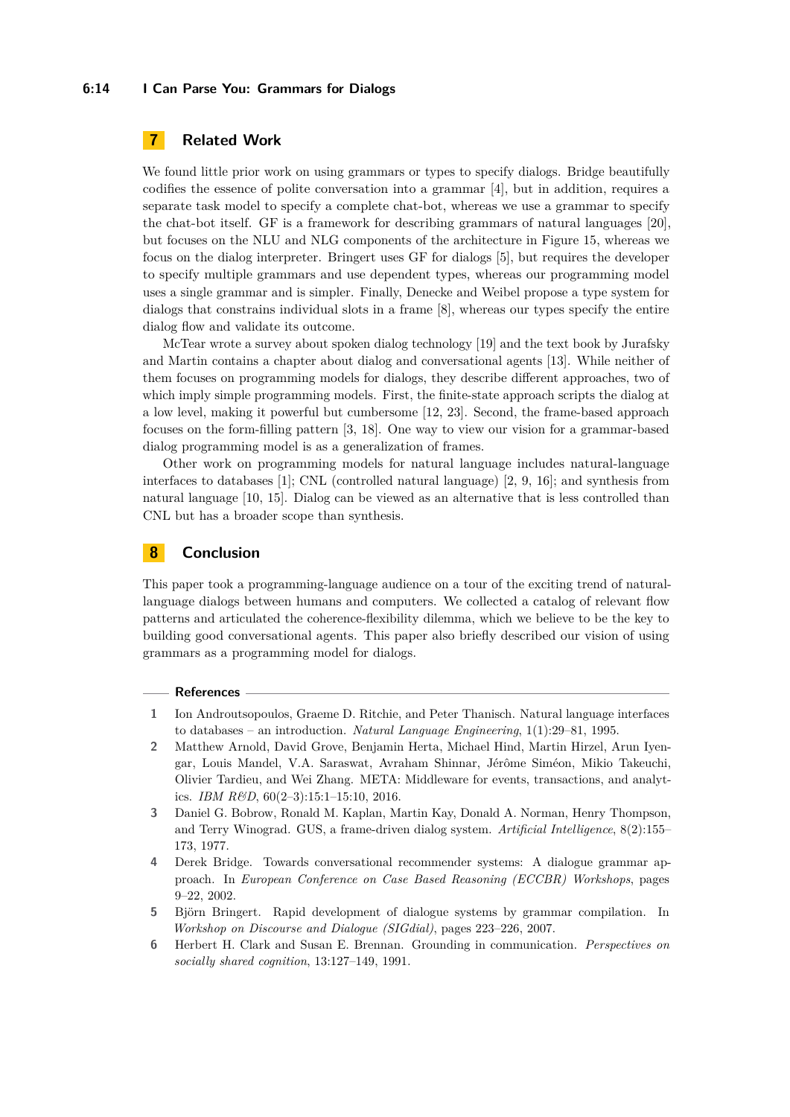### **6:14 I Can Parse You: Grammars for Dialogs**

# **7 Related Work**

We found little prior work on using grammars or types to specify dialogs. Bridge beautifully codifies the essence of polite conversation into a grammar [\[4\]](#page-13-2), but in addition, requires a separate task model to specify a complete chat-bot, whereas we use a grammar to specify the chat-bot itself. GF is a framework for describing grammars of natural languages [\[20\]](#page-14-9), but focuses on the NLU and NLG components of the architecture in Figure [15,](#page-7-0) whereas we focus on the dialog interpreter. Bringert uses GF for dialogs [\[5\]](#page-13-3), but requires the developer to specify multiple grammars and use dependent types, whereas our programming model uses a single grammar and is simpler. Finally, Denecke and Weibel propose a type system for dialogs that constrains individual slots in a frame [\[8\]](#page-14-13), whereas our types specify the entire dialog flow and validate its outcome.

McTear wrote a survey about spoken dialog technology [\[19\]](#page-14-1) and the text book by Jurafsky and Martin contains a chapter about dialog and conversational agents [\[13\]](#page-14-0). While neither of them focuses on programming models for dialogs, they describe different approaches, two of which imply simple programming models. First, the finite-state approach scripts the dialog at a low level, making it powerful but cumbersome [\[12,](#page-14-2) [23\]](#page-14-8). Second, the frame-based approach focuses on the form-filling pattern [\[3,](#page-13-0) [18\]](#page-14-3). One way to view our vision for a grammar-based dialog programming model is as a generalization of frames.

Other work on programming models for natural language includes natural-language interfaces to databases [\[1\]](#page-13-4); CNL (controlled natural language) [\[2,](#page-13-5) [9,](#page-14-14) [16\]](#page-14-15); and synthesis from natural language [\[10,](#page-14-16) [15\]](#page-14-17). Dialog can be viewed as an alternative that is less controlled than CNL but has a broader scope than synthesis.

### **8 Conclusion**

This paper took a programming-language audience on a tour of the exciting trend of naturallanguage dialogs between humans and computers. We collected a catalog of relevant flow patterns and articulated the coherence-flexibility dilemma, which we believe to be the key to building good conversational agents. This paper also briefly described our vision of using grammars as a programming model for dialogs.

### **References**

- <span id="page-13-4"></span>**1** Ion Androutsopoulos, Graeme D. Ritchie, and Peter Thanisch. Natural language interfaces to databases – an introduction. *Natural Language Engineering*, 1(1):29–81, 1995.
- <span id="page-13-5"></span>**2** Matthew Arnold, David Grove, Benjamin Herta, Michael Hind, Martin Hirzel, Arun Iyengar, Louis Mandel, V.A. Saraswat, Avraham Shinnar, Jérôme Siméon, Mikio Takeuchi, Olivier Tardieu, and Wei Zhang. META: Middleware for events, transactions, and analytics. *IBM R&D*, 60(2–3):15:1–15:10, 2016.
- <span id="page-13-0"></span>**3** Daniel G. Bobrow, Ronald M. Kaplan, Martin Kay, Donald A. Norman, Henry Thompson, and Terry Winograd. GUS, a frame-driven dialog system. *Artificial Intelligence*, 8(2):155– 173, 1977.
- <span id="page-13-2"></span>**4** Derek Bridge. Towards conversational recommender systems: A dialogue grammar approach. In *European Conference on Case Based Reasoning (ECCBR) Workshops*, pages 9–22, 2002.
- <span id="page-13-3"></span>**5** Björn Bringert. Rapid development of dialogue systems by grammar compilation. In *Workshop on Discourse and Dialogue (SIGdial)*, pages 223–226, 2007.
- <span id="page-13-1"></span>**6** Herbert H. Clark and Susan E. Brennan. Grounding in communication. *Perspectives on socially shared cognition*, 13:127–149, 1991.